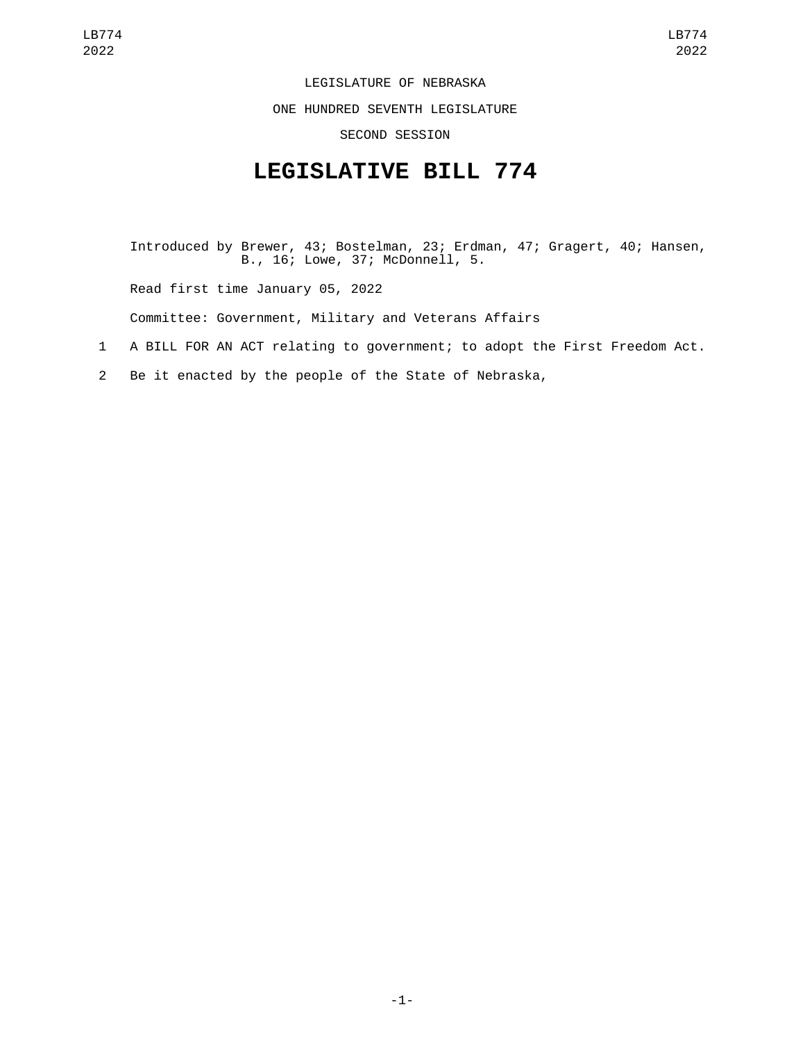LEGISLATURE OF NEBRASKA

ONE HUNDRED SEVENTH LEGISLATURE

SECOND SESSION

## **LEGISLATIVE BILL 774**

Introduced by Brewer, 43; Bostelman, 23; Erdman, 47; Gragert, 40; Hansen, B., 16; Lowe, 37; McDonnell, 5.

Read first time January 05, 2022

Committee: Government, Military and Veterans Affairs

- 1 A BILL FOR AN ACT relating to government; to adopt the First Freedom Act.
- 2 Be it enacted by the people of the State of Nebraska,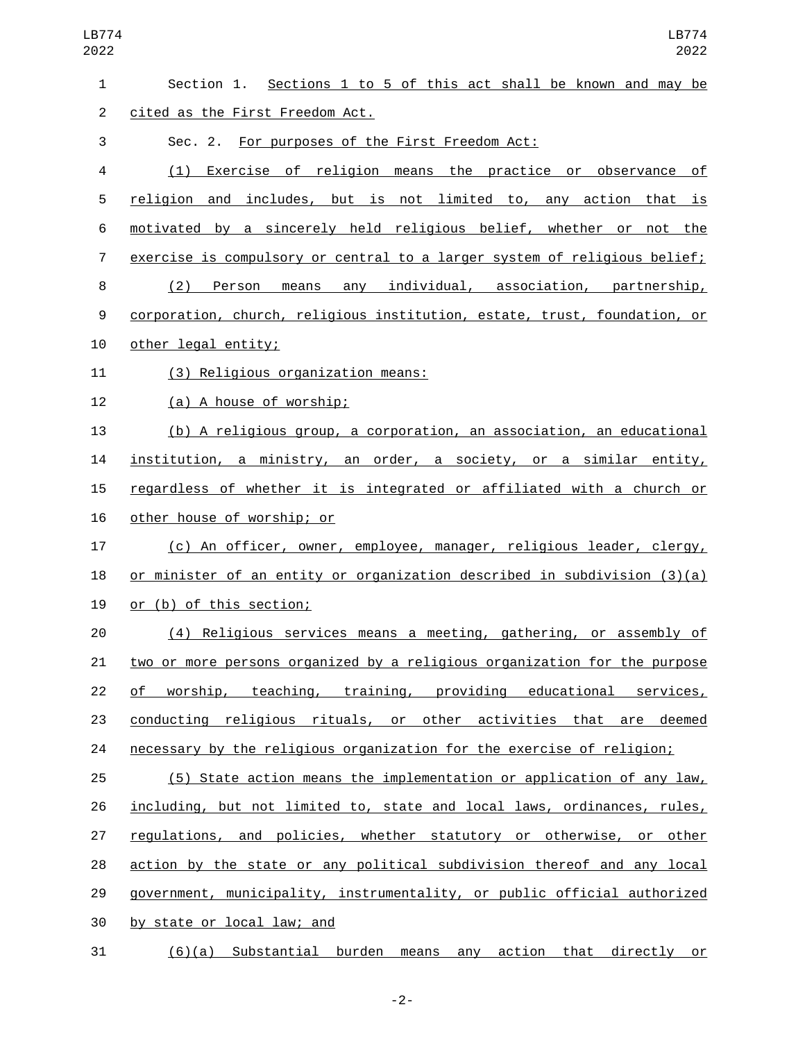| LB774<br>2022    | LB774<br>2022                                                             |
|------------------|---------------------------------------------------------------------------|
| $\mathbf{1}$     | Section 1. Sections 1 to 5 of this act shall be known and may be          |
| $\overline{2}$   | cited as the First Freedom Act.                                           |
| 3                | Sec. 2. For purposes of the First Freedom Act:                            |
| $\overline{4}$   | Exercise of religion means the practice or observance<br>(1)<br>0f        |
| 5                | and includes, but is not limited to, any action that is<br>religion       |
| 6                | motivated by a sincerely held religious belief, whether or not the        |
| $\overline{7}$   | exercise is compulsory or central to a larger system of religious belief; |
| 8                | any individual, association, partnership,<br>(2)<br>Person<br>means       |
| $\boldsymbol{9}$ | corporation, church, religious institution, estate, trust, foundation, or |
| 10               | other legal entity;                                                       |
| 11               | (3) Religious organization means:                                         |
| 12               | (a) A house of worship;                                                   |
| 13               | (b) A religious group, a corporation, an association, an educational      |

 institution, a ministry, an order, a society, or a similar entity, regardless of whether it is integrated or affiliated with a church or 16 other house of worship; or

 (c) An officer, owner, employee, manager, religious leader, clergy, or minister of an entity or organization described in subdivision (3)(a) 19 or (b) of this section;

 (4) Religious services means a meeting, gathering, or assembly of two or more persons organized by a religious organization for the purpose of worship, teaching, training, providing educational services, conducting religious rituals, or other activities that are deemed 24 necessary by the religious organization for the exercise of religion;

 (5) State action means the implementation or application of any law, including, but not limited to, state and local laws, ordinances, rules, regulations, and policies, whether statutory or otherwise, or other action by the state or any political subdivision thereof and any local government, municipality, instrumentality, or public official authorized 30 by state or local law; and

(6)(a) Substantial burden means any action that directly or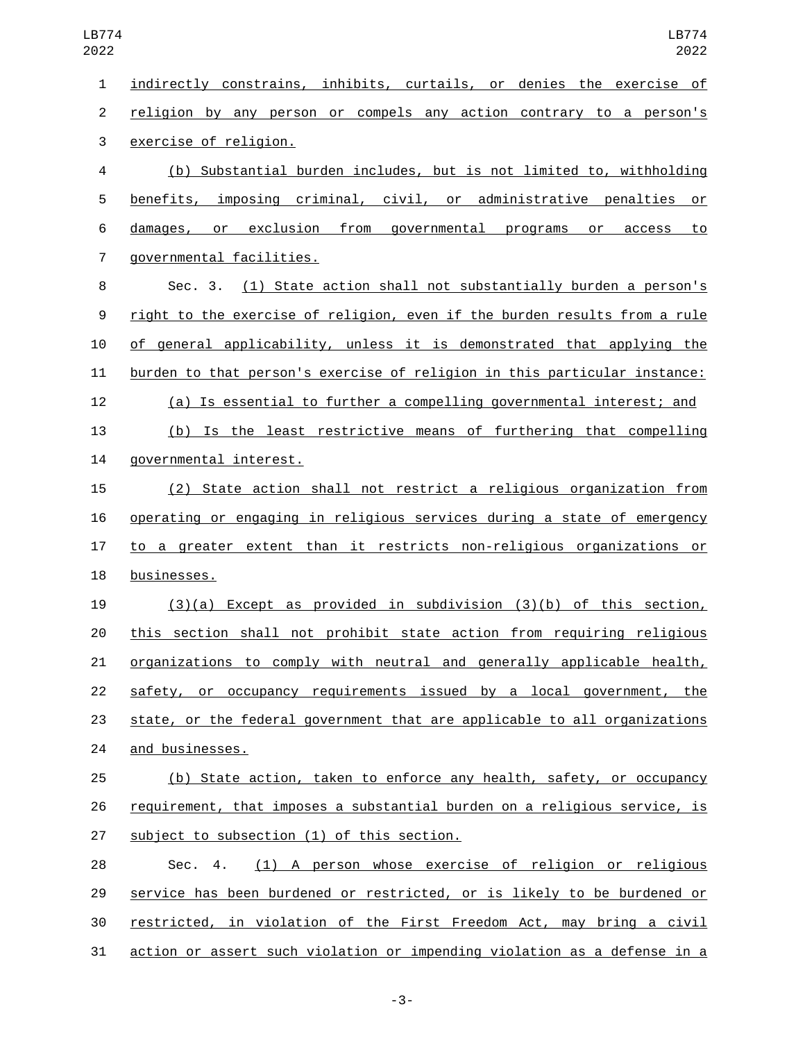indirectly constrains, inhibits, curtails, or denies the exercise of 2 religion by any person or compels any action contrary to a person's 3 exercise of religion. (b) Substantial burden includes, but is not limited to, withholding benefits, imposing criminal, civil, or administrative penalties or damages, or exclusion from governmental programs or access to 7 governmental facilities. Sec. 3. (1) State action shall not substantially burden a person's right to the exercise of religion, even if the burden results from a rule of general applicability, unless it is demonstrated that applying the burden to that person's exercise of religion in this particular instance: (a) Is essential to further a compelling governmental interest; and (b) Is the least restrictive means of furthering that compelling 14 governmental interest. (2) State action shall not restrict a religious organization from operating or engaging in religious services during a state of emergency to a greater extent than it restricts non-religious organizations or 18 businesses. (3)(a) Except as provided in subdivision (3)(b) of this section, this section shall not prohibit state action from requiring religious organizations to comply with neutral and generally applicable health, safety, or occupancy requirements issued by a local government, the state, or the federal government that are applicable to all organizations 24 and businesses. (b) State action, taken to enforce any health, safety, or occupancy requirement, that imposes a substantial burden on a religious service, is 27 subject to subsection (1) of this section. Sec. 4. (1) A person whose exercise of religion or religious service has been burdened or restricted, or is likely to be burdened or restricted, in violation of the First Freedom Act, may bring a civil action or assert such violation or impending violation as a defense in a